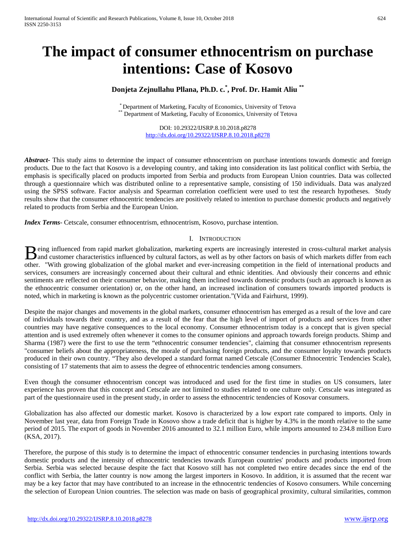# **The impact of consumer ethnocentrism on purchase intentions: Case of Kosovo**

# **Donjeta Zejnullahu Pllana, Ph.D. c.\* , Prof. Dr. Hamit Aliu \*\***

\* Department of Marketing, Faculty of Economics, University of Tetova \*\* Department of Marketing, Faculty of Economics, University of Tetova

DOI: 10.29322/IJSRP.8.10.2018.p8278 <http://dx.doi.org/10.29322/IJSRP.8.10.2018.p8278>

*Abstract***-** This study aims to determine the impact of consumer ethnocentrism on purchase intentions towards domestic and foreign products. Due to the fact that Kosovo is a developing country, and taking into consideration its last political conflict with Serbia, the emphasis is specifically placed on products imported from Serbia and products from European Union countries. Data was collected through a questionnaire which was distributed online to a representative sample, consisting of 150 individuals. Data was analyzed using the SPSS software. Factor analysis and Spearman correlation coefficient were used to test the research hypotheses. Study results show that the consumer ethnocentric tendencies are positively related to intention to purchase domestic products and negatively related to products from Serbia and the European Union.

*Index Terms*- Cetscale, consumer ethnocentrism, ethnocentrism, Kosovo, purchase intention.

# I. INTRODUCTION

eing influenced from rapid market globalization, marketing experts are increasingly interested in cross-cultural market analysis **B** eing influenced from rapid market globalization, marketing experts are increasingly interested in cross-cultural market analysis and customer characteristics influenced by cultural factors, as well as by other factors other. "With growing globalization of the global market and ever-increasing competition in the field of international products and services, consumers are increasingly concerned about their cultural and ethnic identities. And obviously their concerns and ethnic sentiments are reflected on their consumer behavior, making them inclined towards domestic products (such an approach is known as the ethnocentric consumer orientation) or, on the other hand, an increased inclination of consumers towards imported products is noted, which in marketing is known as the polycentric customer orientation."(Vida and Fairhurst, 1999).

Despite the major changes and movements in the global markets, consumer ethnocentrism has emerged as a result of the love and care of individuals towards their country, and as a result of the fear that the high level of import of products and services from other countries may have negative consequences to the local economy. Consumer ethnocentrism today is a concept that is given special attention and is used extremely often whenever it comes to the consumer opinions and approach towards foreign products. Shimp and Sharma (1987) were the first to use the term "ethnocentric consumer tendencies", claiming that consumer ethnocentrism represents "consumer beliefs about the appropriateness, the morale of purchasing foreign products, and the consumer loyalty towards products produced in their own country. "They also developed a standard format named Cetscale (Consumer Ethnocentric Tendencies Scale), consisting of 17 statements that aim to assess the degree of ethnocentric tendencies among consumers.

Even though the consumer ethnocentrism concept was introduced and used for the first time in studies on US consumers, later experience has proven that this concept and Cetscale are not limited to studies related to one culture only. Cetscale was integrated as part of the questionnaire used in the present study, in order to assess the ethnocentric tendencies of Kosovar consumers.

Globalization has also affected our domestic market. Kosovo is characterized by a low export rate compared to imports. Only in November last year, data from Foreign Trade in Kosovo show a trade deficit that is higher by 4.3% in the month relative to the same period of 2015. The export of goods in November 2016 amounted to 32.1 million Euro, while imports amounted to 234.8 million Euro (KSA, 2017).

Therefore, the purpose of this study is to determine the impact of ethnocentric consumer tendencies in purchasing intentions towards domestic products and the intensity of ethnocentric tendencies towards European countries' products and products imported from Serbia. Serbia was selected because despite the fact that Kosovo still has not completed two entire decades since the end of the conflict with Serbia, the latter country is now among the largest importers in Kosovo. In addition, it is assumed that the recent war may be a key factor that may have contributed to an increase in the ethnocentric tendencies of Kosovo consumers. While concerning the selection of European Union countries. The selection was made on basis of geographical proximity, cultural similarities, common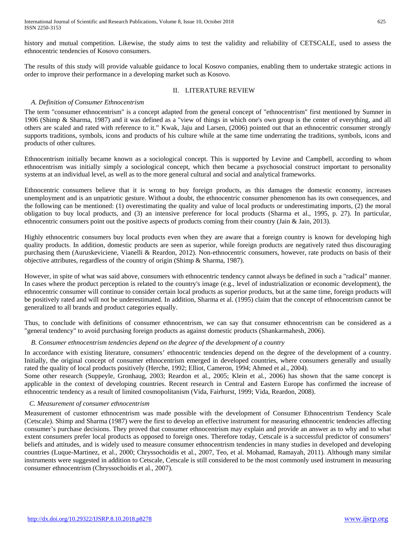The results of this study will provide valuable guidance to local Kosovo companies, enabling them to undertake strategic actions in order to improve their performance in a developing market such as Kosovo.

# II. LITERATURE REVIEW

# *A. Definition of Consumer Ethnocentrism*

The term "consumer ethnocentrism" is a concept adapted from the general concept of "ethnocentrism" first mentioned by Sumner in 1906 (Shimp & Sharma, 1987) and it was defined as a "view of things in which one's own group is the center of everything, and all others are scaled and rated with reference to it." Kwak, Jaju and Larsen, (2006) pointed out that an ethnocentric consumer strongly supports traditions, symbols, icons and products of his culture while at the same time underrating the traditions, symbols, icons and products of other cultures.

Ethnocentrism initially became known as a sociological concept. This is supported by Levine and Campbell, according to whom ethnocentrism was initially simply a sociological concept, which then became a psychosocial construct important to personality systems at an individual level, as well as to the more general cultural and social and analytical frameworks.

Ethnocentric consumers believe that it is wrong to buy foreign products, as this damages the domestic economy, increases unemployment and is an unpatriotic gesture. Without a doubt, the ethnocentric consumer phenomenon has its own consequences, and the following can be mentioned: (1) overestimating the quality and value of local products or underestimating imports, (2) the moral obligation to buy local products, and (3) an intensive preference for local products (Sharma et al., 1995, p. 27). In particular, ethnocentric consumers point out the positive aspects of products coming from their country (Jain & Jain, 2013).

Highly ethnocentric consumers buy local products even when they are aware that a foreign country is known for developing high quality products. In addition, domestic products are seen as superior, while foreign products are negatively rated thus discouraging purchasing them (Auruskeviciene, Vianelli & Reardon, 2012). Non-ethnocentric consumers, however, rate products on basis of their objective attributes, regardless of the country of origin (Shimp & Sharma, 1987).

However, in spite of what was said above, consumers with ethnocentric tendency cannot always be defined in such a "radical" manner. In cases where the product perception is related to the country's image (e.g., level of industrialization or economic development), the ethnocentric consumer will continue to consider certain local products as superior products, but at the same time, foreign products will be positively rated and will not be underestimated. In addition, Sharma et al. (1995) claim that the concept of ethnocentrism cannot be generalized to all brands and product categories equally.

Thus, to conclude with definitions of consumer ethnocentrism, we can say that consumer ethnocentrism can be considered as a "general tendency" to avoid purchasing foreign products as against domestic products (Shankarmahesh, 2006).

# *B. Consumer ethnocentrism tendencies depend on the degree of the development of a country*

In accordance with existing literature, consumers' ethnocentric tendencies depend on the degree of the development of a country. Initially, the original concept of consumer ethnocentrism emerged in developed countries, where consumers generally and usually rated the quality of local products positively (Herche, 1992; Elliot, Cameron, 1994; Ahmed et al., 2004).

Some other research (Suppeyle, Gronhaug, 2003; Reardon et al., 2005; Klein et al., 2006) has shown that the same concept is applicable in the context of developing countries. Recent research in Central and Eastern Europe has confirmed the increase of ethnocentric tendency as a result of limited cosmopolitanism (Vida, Fairhurst, 1999; Vida, Reardon, 2008).

# *C. Measurement of consumer ethnocentrism*

Measurement of customer ethnocentrism was made possible with the development of Consumer Ethnocentrism Tendency Scale (Cetscale). Shimp and Sharma (1987) were the first to develop an effective instrument for measuring ethnocentric tendencies affecting consumer's purchase decisions. They proved that consumer ethnocentrism may explain and provide an answer as to why and to what extent consumers prefer local products as opposed to foreign ones. Therefore today, Cetscale is a successful predictor of consumers' beliefs and attitudes, and is widely used to measure consumer ethnocentrism tendencies in many studies in developed and developing countries (Luque-Martinez, et al., 2000; Chryssochoidis et al., 2007, Teo, et al. Mohamad, Ramayah, 2011). Although many similar instruments were suggested in addition to Cetscale, Cetscale is still considered to be the most commonly used instrument in measuring consumer ethnocentrism (Chryssochoidis et al., 2007).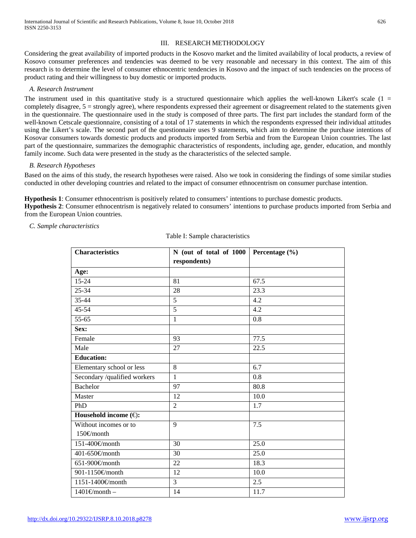# III. RESEARCH METHODOLOGY

Considering the great availability of imported products in the Kosovo market and the limited availability of local products, a review of Kosovo consumer preferences and tendencies was deemed to be very reasonable and necessary in this context. The aim of this research is to determine the level of consumer ethnocentric tendencies in Kosovo and the impact of such tendencies on the process of product rating and their willingness to buy domestic or imported products.

# *A. Research Instrument*

The instrument used in this quantitative study is a structured questionnaire which applies the well-known Likert's scale  $(1 =$ completely disagree, 5 = strongly agree), where respondents expressed their agreement or disagreement related to the statements given in the questionnaire. The questionnaire used in the study is composed of three parts. The first part includes the standard form of the well-known Cetscale questionnaire, consisting of a total of 17 statements in which the respondents expressed their individual attitudes using the Likert's scale. The second part of the questionnaire uses 9 statements, which aim to determine the purchase intentions of Kosovar consumers towards domestic products and products imported from Serbia and from the European Union countries. The last part of the questionnaire, summarizes the demographic characteristics of respondents, including age, gender, education, and monthly family income. Such data were presented in the study as the characteristics of the selected sample.

# *B. Research Hypotheses*

Based on the aims of this study, the research hypotheses were raised. Also we took in considering the findings of some similar studies conducted in other developing countries and related to the impact of consumer ethnocentrism on consumer purchase intention.

**Hypothesis 1**: Consumer ethnocentrism is positively related to consumers' intentions to purchase domestic products. **Hypothesis 2**: Consumer ethnocentrism is negatively related to consumers' intentions to purchase products imported from Serbia and from the European Union countries.

# *C. Sample characteristics*

| <b>Characteristics</b>        | N (out of total of $1000$ Percentage $(\% )$<br>respondents) |      |  |
|-------------------------------|--------------------------------------------------------------|------|--|
|                               |                                                              |      |  |
| Age:                          |                                                              |      |  |
| $15 - 24$                     | 81                                                           | 67.5 |  |
| 25-34                         | 28                                                           | 23.3 |  |
| 35-44                         | 5                                                            | 4.2  |  |
| 45-54                         | 5                                                            | 4.2  |  |
| 55-65                         | 1                                                            | 0.8  |  |
| Sex:                          |                                                              |      |  |
| Female                        | 93                                                           | 77.5 |  |
| Male                          | 27                                                           | 22.5 |  |
| <b>Education:</b>             |                                                              |      |  |
| Elementary school or less     | 8                                                            | 6.7  |  |
| Secondary /qualified workers  | 1                                                            | 0.8  |  |
| <b>Bachelor</b>               | 97                                                           | 80.8 |  |
| Master                        | 12                                                           | 10.0 |  |
| PhD                           | $\overline{2}$                                               | 1.7  |  |
| Household income $(\oplus)$ : |                                                              |      |  |
| Without incomes or to         | 9                                                            | 7.5  |  |
| 150€month                     |                                                              |      |  |
| 151-400€month                 | 30                                                           | 25.0 |  |
| 401-650€month                 | 30                                                           | 25.0 |  |
| 651-900€month                 | 22                                                           | 18.3 |  |
| 901-1150€month                | 12                                                           | 10.0 |  |
| 1151-1400€month               | 3                                                            | 2.5  |  |
| $1401 \in \text{month}$       | 14                                                           | 11.7 |  |

Table I: Sample characteristics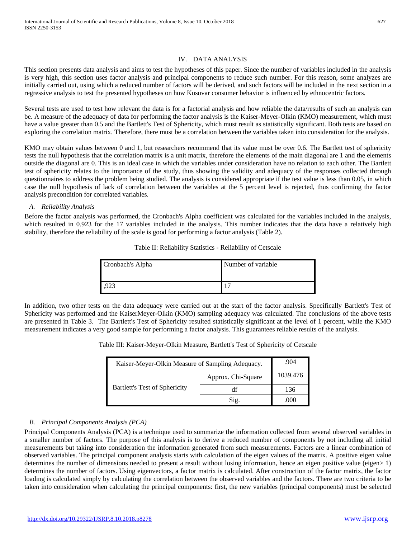# IV. DATA ANALYSIS

This section presents data analysis and aims to test the hypotheses of this paper. Since the number of variables included in the analysis is very high, this section uses factor analysis and principal components to reduce such number. For this reason, some analyzes are initially carried out, using which a reduced number of factors will be derived, and such factors will be included in the next section in a regressive analysis to test the presented hypotheses on how Kosovar consumer behavior is influenced by ethnocentric factors.

Several tests are used to test how relevant the data is for a factorial analysis and how reliable the data/results of such an analysis can be. A measure of the adequacy of data for performing the factor analysis is the Kaiser-Meyer-Olkin (KMO) measurement, which must have a value greater than 0.5 and the Bartlett's Test of Sphericity, which must result as statistically significant. Both tests are based on exploring the correlation matrix. Therefore, there must be a correlation between the variables taken into consideration for the analysis.

KMO may obtain values between 0 and 1, but researchers recommend that its value must be over 0.6. The Bartlett test of sphericity tests the null hypothesis that the correlation matrix is a unit matrix, therefore the elements of the main diagonal are 1 and the elements outside the diagonal are 0. This is an ideal case in which the variables under consideration have no relation to each other. The Bartlett test of sphericity relates to the importance of the study, thus showing the validity and adequacy of the responses collected through questionnaires to address the problem being studied. The analysis is considered appropriate if the test value is less than 0.05, in which case the null hypothesis of lack of correlation between the variables at the 5 percent level is rejected, thus confirming the factor analysis precondition for correlated variables.

# *A. Reliability Analysis*

Before the factor analysis was performed, the Cronbach's Alpha coefficient was calculated for the variables included in the analysis, which resulted in 0.923 for the 17 variables included in the analysis. This number indicates that the data have a relatively high stability, therefore the reliability of the scale is good for performing a factor analysis (Table 2).

| Cronbach's Alpha | Number of variable |
|------------------|--------------------|
|                  |                    |

Table II: Reliability Statistics - Reliability of Cetscale

In addition, two other tests on the data adequacy were carried out at the start of the factor analysis. Specifically Bartlett's Test of Sphericity was performed and the KaiserMeyer-Olkin (KMO) sampling adequacy was calculated. The conclusions of the above tests are presented in Table 3. The Bartlett's Test of Sphericity resulted statistically significant at the level of 1 percent, while the KMO measurement indicates a very good sample for performing a factor analysis. This guarantees reliable results of the analysis.

|  | Table III: Kaiser-Meyer-Olkin Measure, Bartlett's Test of Sphericity of Cetscale |  |
|--|----------------------------------------------------------------------------------|--|
|  |                                                                                  |  |
|  |                                                                                  |  |

| Kaiser-Meyer-Olkin Measure of Sampling Adequacy. | .904               |          |
|--------------------------------------------------|--------------------|----------|
|                                                  | Approx. Chi-Square | 1039.476 |
| <b>Bartlett's Test of Sphericity</b>             |                    | 136      |
|                                                  | Sig.               | (0()     |

# *B. Principal Components Analysis (PCA)*

Principal Components Analysis (PCA) is a technique used to summarize the information collected from several observed variables in a smaller number of factors. The purpose of this analysis is to derive a reduced number of components by not including all initial measurements but taking into consideration the information generated from such measurements. Factors are a linear combination of observed variables. The principal component analysis starts with calculation of the eigen values of the matrix. A positive eigen value determines the number of dimensions needed to present a result without losing information, hence an eigen positive value (eigen> 1) determines the number of factors. Using eigenvectors, a factor matrix is calculated. After construction of the factor matrix, the factor loading is calculated simply by calculating the correlation between the observed variables and the factors. There are two criteria to be taken into consideration when calculating the principal components: first, the new variables (principal components) must be selected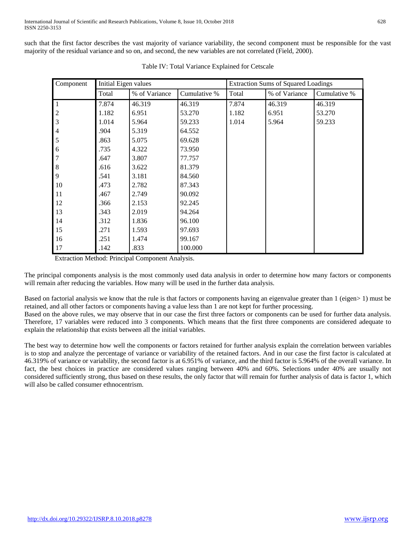such that the first factor describes the vast majority of variance variability, the second component must be responsible for the vast majority of the residual variance and so on, and second, the new variables are not correlated (Field, 2000).

| Component                             | Initial Eigen values |               | <b>Extraction Sums of Squared Loadings</b> |       |               |              |
|---------------------------------------|----------------------|---------------|--------------------------------------------|-------|---------------|--------------|
|                                       | Total                | % of Variance | Cumulative %                               | Total | % of Variance | Cumulative % |
| $\mathbf{1}$                          | 7.874                | 46.319        | 46.319                                     | 7.874 | 46.319        | 46.319       |
| $\begin{array}{c} 2 \\ 3 \end{array}$ | 1.182                | 6.951         | 53.270                                     | 1.182 | 6.951         | 53.270       |
|                                       | 1.014                | 5.964         | 59.233                                     | 1.014 | 5.964         | 59.233       |
| $\overline{4}$                        | .904                 | 5.319         | 64.552                                     |       |               |              |
| 5                                     | .863                 | 5.075         | 69.628                                     |       |               |              |
| 6                                     | .735                 | 4.322         | 73.950                                     |       |               |              |
| $\overline{7}$                        | .647                 | 3.807         | 77.757                                     |       |               |              |
| $8\phantom{1}$                        | .616                 | 3.622         | 81.379                                     |       |               |              |
| 9                                     | .541                 | 3.181         | 84.560                                     |       |               |              |
| 10                                    | .473                 | 2.782         | 87.343                                     |       |               |              |
| 11                                    | .467                 | 2.749         | 90.092                                     |       |               |              |
| 12                                    | .366                 | 2.153         | 92.245                                     |       |               |              |
| 13                                    | .343                 | 2.019         | 94.264                                     |       |               |              |
| 14                                    | .312                 | 1.836         | 96.100                                     |       |               |              |
| 15                                    | .271                 | 1.593         | 97.693                                     |       |               |              |
| 16                                    | .251                 | 1.474         | 99.167                                     |       |               |              |
| 17                                    | .142                 | .833          | 100.000                                    |       |               |              |

Table IV: Total Variance Explained for Cetscale

Extraction Method: Principal Component Analysis.

explain the relationship that exists between all the initial variables.

The principal components analysis is the most commonly used data analysis in order to determine how many factors or components will remain after reducing the variables. How many will be used in the further data analysis.

Based on factorial analysis we know that the rule is that factors or components having an eigenvalue greater than 1 (eigen> 1) must be retained, and all other factors or components having a value less than 1 are not kept for further processing. Based on the above rules, we may observe that in our case the first three factors or components can be used for further data analysis. Therefore, 17 variables were reduced into 3 components. Which means that the first three components are considered adequate to

The best way to determine how well the components or factors retained for further analysis explain the correlation between variables is to stop and analyze the percentage of variance or variability of the retained factors. And in our case the first factor is calculated at 46.319% of variance or variability, the second factor is at 6.951% of variance, and the third factor is 5.964% of the overall variance. In fact, the best choices in practice are considered values ranging between 40% and 60%. Selections under 40% are usually not considered sufficiently strong, thus based on these results, the only factor that will remain for further analysis of data is factor 1, which

will also be called consumer ethnocentrism.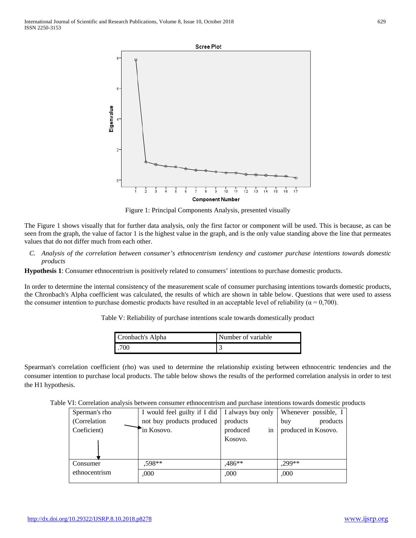

Figure 1: Principal Components Analysis, presented visually

The Figure 1 shows visually that for further data analysis, only the first factor or component will be used. This is because, as can be seen from the graph, the value of factor 1 is the highest value in the graph, and is the only value standing above the line that permeates values that do not differ much from each other.

*C. Analysis of the correlation between consumer's ethnocentrism tendency and customer purchase intentions towards domestic products*

**Hypothesis 1**: Consumer ethnocentrism is positively related to consumers' intentions to purchase domestic products.

In order to determine the internal consistency of the measurement scale of consumer purchasing intentions towards domestic products, the Chronbach's Alpha coefficient was calculated, the results of which are shown in table below. Questions that were used to assess the consumer intention to purchase domestic products have resulted in an acceptable level of reliability ( $\alpha$  = 0,700).

Table V: Reliability of purchase intentions scale towards domestically product

| Cronbach's Alpha | Number of variable |  |
|------------------|--------------------|--|
| .700             |                    |  |

Spearman's correlation coefficient (rho) was used to determine the relationship existing between ethnocentric tendencies and the consumer intention to purchase local products. The table below shows the results of the performed correlation analysis in order to test the H1 hypothesis.

Table VI: Correlation analysis between consumer ethnocentrism and purchase intentions towards domestic products

| Sperman's rho | I would feel guilty if I did   I always buy only |                | Whenever possible, I |
|---------------|--------------------------------------------------|----------------|----------------------|
| (Correlation) | not buy products produced                        | products       | products<br>buy      |
| Coeficient)   | in Kosovo.                                       | produced<br>in | produced in Kosovo.  |
|               |                                                  | Kosovo.        |                      |
|               |                                                  |                |                      |
|               |                                                  |                |                      |
| Consumer      | .598**                                           | .486**         | .299**               |
| ethnocentrism | .000                                             | ,000           | ,000                 |
|               |                                                  |                |                      |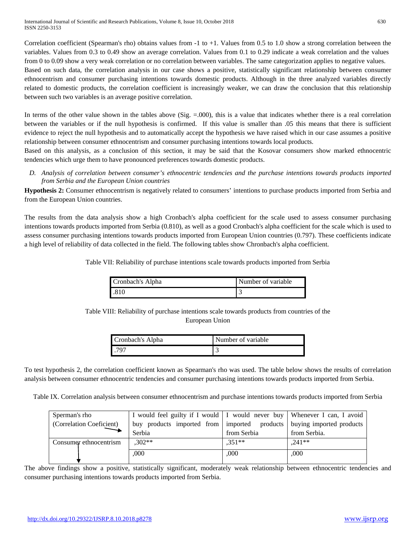Correlation coefficient (Spearman's rho) obtains values from -1 to +1. Values from 0.5 to 1.0 show a strong correlation between the variables. Values from 0.3 to 0.49 show an average correlation. Values from 0.1 to 0.29 indicate a weak correlation and the values from 0 to 0.09 show a very weak correlation or no correlation between variables. The same categorization applies to negative values. Based on such data, the correlation analysis in our case shows a positive, statistically significant relationship between consumer ethnocentrism and consumer purchasing intentions towards domestic products. Although in the three analyzed variables directly related to domestic products, the correlation coefficient is increasingly weaker, we can draw the conclusion that this relationship between such two variables is an average positive correlation.

In terms of the other value shown in the tables above (Sig. = 000), this is a value that indicates whether there is a real correlation between the variables or if the null hypothesis is confirmed. If this value is smaller than .05 this means that there is sufficient evidence to reject the null hypothesis and to automatically accept the hypothesis we have raised which in our case assumes a positive relationship between consumer ethnocentrism and consumer purchasing intentions towards local products.

Based on this analysis, as a conclusion of this section, it may be said that the Kosovar consumers show marked ethnocentric tendencies which urge them to have pronounced preferences towards domestic products.

*D. Analysis of correlation between consumer's ethnocentric tendencies and the purchase intentions towards products imported from Serbia and the European Union countries*

**Hypothesis 2:** Consumer ethnocentrism is negatively related to consumers' intentions to purchase products imported from Serbia and from the European Union countries.

The results from the data analysis show a high Cronbach's alpha coefficient for the scale used to assess consumer purchasing intentions towards products imported from Serbia (0.810), as well as a good Cronbach's alpha coefficient for the scale which is used to assess consumer purchasing intentions towards products imported from European Union countries (0.797). These coefficients indicate a high level of reliability of data collected in the field. The following tables show Chronbach's alpha coefficient.

Table VII: Reliability of purchase intentions scale towards products imported from Serbia

| Cronbach's Alpha | Number of variable |
|------------------|--------------------|
| .810             |                    |

Table VIII: Reliability of purchase intentions scale towards products from countries of the European Union

| Cronbach's Alpha | Number of variable |
|------------------|--------------------|
| 797              |                    |

To test hypothesis 2, the correlation coefficient known as Spearman's rho was used. The table below shows the results of correlation analysis between consumer ethnocentric tendencies and consumer purchasing intentions towards products imported from Serbia.

Table IX. Correlation analysis between consumer ethnocentrism and purchase intentions towards products imported from Serbia

| Sperman's rho            | I would feel guilty if I would   I would never buy   Whenever I can, I avoid |             |                          |
|--------------------------|------------------------------------------------------------------------------|-------------|--------------------------|
| (Correlation Coeficient) | buy products imported from   imported products                               |             | buying imported products |
|                          | Serbia                                                                       | from Serbia | from Serbia.             |
| Consumer ethnocentrism   | $.302**$                                                                     | $.351**$    | $.241**$                 |
|                          | 000                                                                          | .000        | ,000                     |
|                          |                                                                              |             |                          |

The above findings show a positive, statistically significant, moderately weak relationship between ethnocentric tendencies and consumer purchasing intentions towards products imported from Serbia.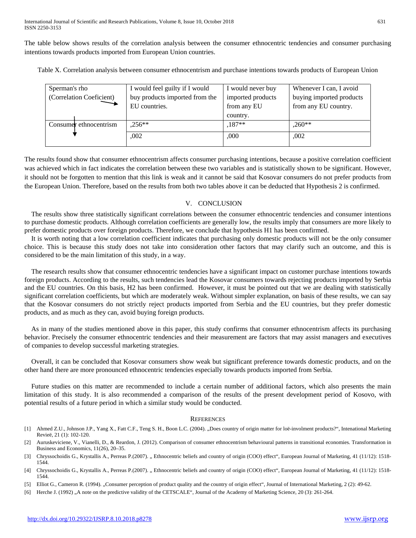The table below shows results of the correlation analysis between the consumer ethnocentric tendencies and consumer purchasing intentions towards products imported from European Union countries.

Table X. Correlation analysis between consumer ethnocentrism and purchase intentions towards products of European Union

| Sperman's rho                                              | I would feel guilty if I would | I would never buy | Whenever I can, I avoid  |
|------------------------------------------------------------|--------------------------------|-------------------|--------------------------|
| buy products imported from the<br>(Correlation Coeficient) |                                | imported products | buying imported products |
|                                                            | EU countries.                  | from any EU       | from any EU country.     |
|                                                            |                                | country.          |                          |
| Consumer ethnocentrism                                     | $.256**$                       | $.187**$          | $.260**$                 |
|                                                            | .002                           | ,000              | ,002                     |
|                                                            |                                |                   |                          |

The results found show that consumer ethnocentrism affects consumer purchasing intentions, because a positive correlation coefficient was achieved which in fact indicates the correlation between these two variables and is statistically shown to be significant. However, it should not be forgotten to mention that this link is weak and it cannot be said that Kosovar consumers do not prefer products from the European Union. Therefore, based on the results from both two tables above it can be deducted that Hypothesis 2 is confirmed.

# V. CONCLUSION

The results show three statistically significant correlations between the consumer ethnocentric tendencies and consumer intentions to purchase domestic products. Although correlation coefficients are generally low, the results imply that consumers are more likely to prefer domestic products over foreign products. Therefore, we conclude that hypothesis H1 has been confirmed.

It is worth noting that a low correlation coefficient indicates that purchasing only domestic products will not be the only consumer choice. This is because this study does not take into consideration other factors that may clarify such an outcome, and this is considered to be the main limitation of this study, in a way.

The research results show that consumer ethnocentric tendencies have a significant impact on customer purchase intentions towards foreign products. According to the results, such tendencies lead the Kosovar consumers towards rejecting products imported by Serbia and the EU countries. On this basis, H2 has been confirmed. However, it must be pointed out that we are dealing with statistically significant correlation coefficients, but which are moderately weak. Without simpler explanation, on basis of these results, we can say that the Kosovar consumers do not strictly reject products imported from Serbia and the EU countries, but they prefer domestic products, and as much as they can, avoid buying foreign products.

As in many of the studies mentioned above in this paper, this study confirms that consumer ethnocentrism affects its purchasing behavior. Precisely the consumer ethnocentric tendencies and their measurement are factors that may assist managers and executives of companies to develop successful marketing strategies.

Overall, it can be concluded that Kosovar consumers show weak but significant preference towards domestic products, and on the other hand there are more pronounced ethnocentric tendencies especially towards products imported from Serbia.

Future studies on this matter are recommended to include a certain number of additional factors, which also presents the main limitation of this study. It is also recommended a comparison of the results of the present development period of Kosovo, with potential results of a future period in which a similar study would be conducted.

# **REFERENCES**

- [1] Ahmed Z.U., Johnson J.P., Yang X., Fatt C.F., Teng S. H., Boon L.C. (2004). "Does country of origin matter for loë-involment products?", Intenational Marketing Revieë, 21 (1): 102-120.
- [2] Auruskeviciene, V., Vianelli, D., & Reardon, J. (2012). Comparison of consumer ethnocentrism behavioural patterns in transitional economies. Transformation in Business and Economics, 11(26), 20–35.
- [3] Chryssochoidis G., Krystallis A., Perreas P.(2007). "Ethnocentric beliefs and country of origin (COO) effect", European Journal of Marketing, 41 (11/12): 1518-1544.
- [4] Chryssochoidis G., Krystallis A., Perreas P.(2007). "Ethnocentric beliefs and country of origin (COO) effect", European Journal of Marketing, 41 (11/12): 1518-1544.
- [5] Elliot G., Cameron R. (1994). "Consumer perception of product quality and the country of origin effect", Journal of International Marketing, 2 (2): 49-62.
- [6] Herche J. (1992) "A note on the predictive validity of the CETSCALE", Journal of the Academy of Marketing Science, 20 (3): 261-264.